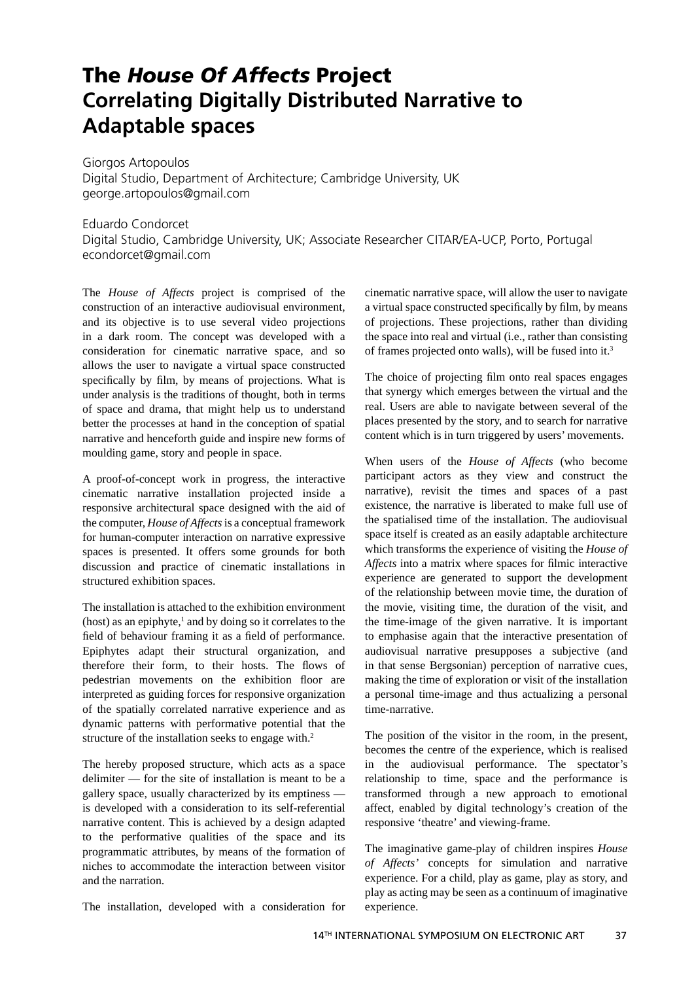## **The** *House Of Affects* **Project Correlating Digitally Distributed Narrative to Adaptable spaces**

Giorgos Artopoulos Digital Studio, Department of Architecture; Cambridge University, UK george.artopoulos@gmail.com

Eduardo Condorcet Digital Studio, Cambridge University, UK; Associate Researcher CITAR/EA-UCP, Porto, Portugal econdorcet@gmail.com

The *House of Affects* project is comprised of the construction of an interactive audiovisual environment, and its objective is to use several video projections in a dark room. The concept was developed with a consideration for cinematic narrative space, and so allows the user to navigate a virtual space constructed specifically by film, by means of projections. What is under analysis is the traditions of thought, both in terms of space and drama, that might help us to understand better the processes at hand in the conception of spatial narrative and henceforth guide and inspire new forms of moulding game, story and people in space.

A proof-of-concept work in progress, the interactive cinematic narrative installation projected inside a responsive architectural space designed with the aid of the computer, *House of Affects* is a conceptual framework for human-computer interaction on narrative expressive spaces is presented. It offers some grounds for both discussion and practice of cinematic installations in structured exhibition spaces.

The installation is attached to the exhibition environment  $(host)$  as an epiphyte,<sup>1</sup> and by doing so it correlates to the field of behaviour framing it as a field of performance. Epiphytes adapt their structural organization, and therefore their form, to their hosts. The flows of pedestrian movements on the exhibition floor are interpreted as guiding forces for responsive organization of the spatially correlated narrative experience and as dynamic patterns with performative potential that the structure of the installation seeks to engage with.<sup>2</sup>

The hereby proposed structure, which acts as a space delimiter — for the site of installation is meant to be a gallery space, usually characterized by its emptiness is developed with a consideration to its self-referential narrative content. This is achieved by a design adapted to the performative qualities of the space and its programmatic attributes, by means of the formation of niches to accommodate the interaction between visitor and the narration.

The installation, developed with a consideration for

cinematic narrative space, will allow the user to navigate a virtual space constructed specifically by film, by means of projections. These projections, rather than dividing the space into real and virtual (i.e., rather than consisting of frames projected onto walls), will be fused into it.3

The choice of projecting film onto real spaces engages that synergy which emerges between the virtual and the real. Users are able to navigate between several of the places presented by the story, and to search for narrative content which is in turn triggered by users' movements.

When users of the *House of Affects* (who become participant actors as they view and construct the narrative), revisit the times and spaces of a past existence, the narrative is liberated to make full use of the spatialised time of the installation. The audiovisual space itself is created as an easily adaptable architecture which transforms the experience of visiting the *House of Affects* into a matrix where spaces for filmic interactive experience are generated to support the development of the relationship between movie time, the duration of the movie, visiting time, the duration of the visit, and the time-image of the given narrative. It is important to emphasise again that the interactive presentation of audiovisual narrative presupposes a subjective (and in that sense Bergsonian) perception of narrative cues, making the time of exploration or visit of the installation a personal time-image and thus actualizing a personal time-narrative.

The position of the visitor in the room, in the present, becomes the centre of the experience, which is realised in the audiovisual performance. The spectator's relationship to time, space and the performance is transformed through a new approach to emotional affect, enabled by digital technology's creation of the responsive 'theatre' and viewing-frame.

The imaginative game-play of children inspires *House of Affects'* concepts for simulation and narrative experience. For a child, play as game, play as story, and play as acting may be seen as a continuum of imaginative experience.